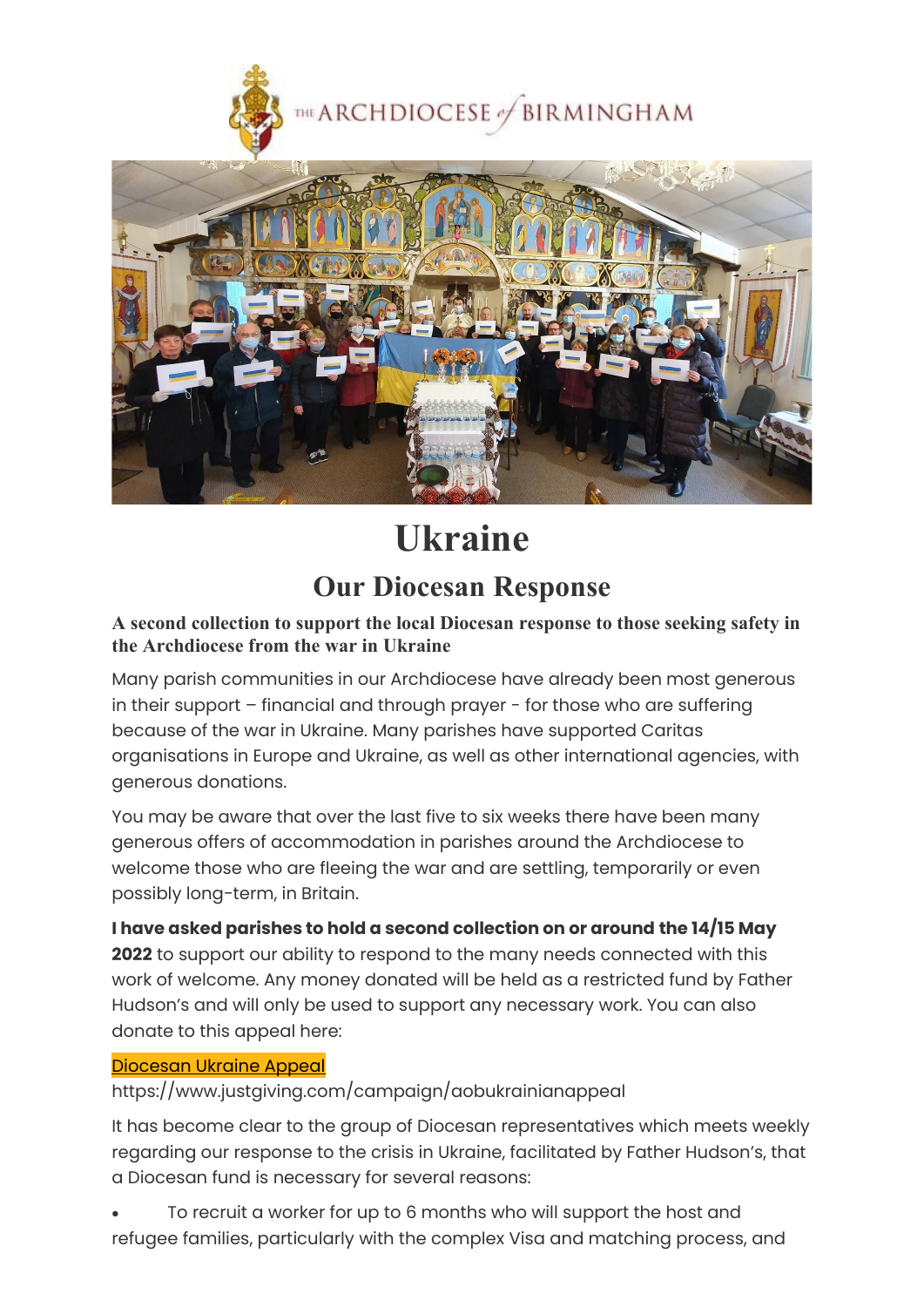

**THE ARCHDIOCESE** of BIRMINGHAM



## **Ukraine**

## **Our Diocesan Response**

## **A second collection to support the local Diocesan response to those seeking safety in the Archdiocese from the war in Ukraine**

Many parish communities in our Archdiocese have already been most generous in their support – financial and through prayer - for those who are suffering because of the war in Ukraine. Many parishes have supported Caritas organisations in Europe and Ukraine, as well as other international agencies, with generous donations.

You may be aware that over the last five to six weeks there have been many generous offers of accommodation in parishes around the Archdiocese to welcome those who are fleeing the war and are settling, temporarily or even possibly long-term, in Britain.

**I have asked parishes to hold a second collection on or around the 14/15 May 2022** to support our ability to respond to the many needs connected with this work of welcome. Any money donated will be held as a restricted fund by Father Hudson's and will only be used to support any necessary work. You can also donate to this appeal here:

## [Diocesan Ukraine Appeal](https://www.justgiving.com/campaign/aobukrainianappeal)

https://www.justgiving.com/campaign/aobukrainianappeal

It has become clear to the group of Diocesan representatives which meets weekly regarding our response to the crisis in Ukraine, facilitated by Father Hudson's, that a Diocesan fund is necessary for several reasons:

• To recruit a worker for up to 6 months who will support the host and refugee families, particularly with the complex Visa and matching process, and